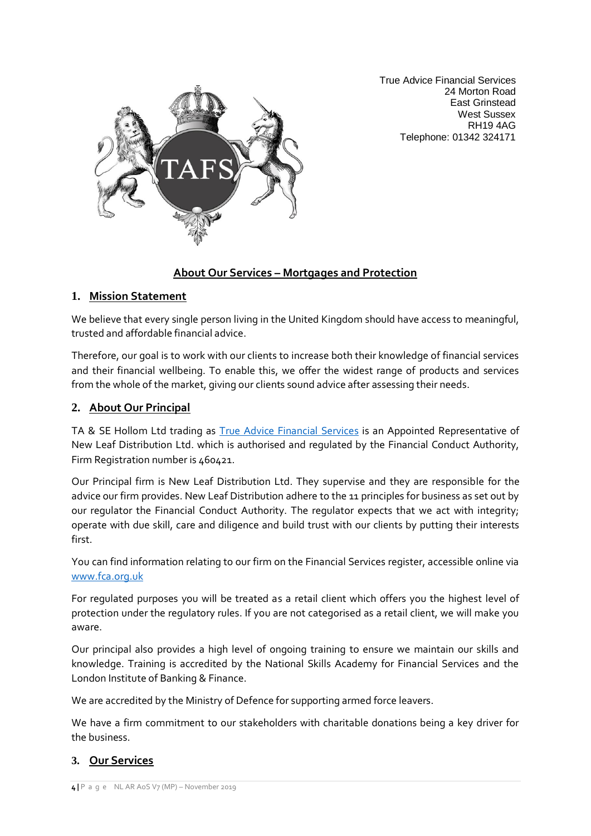True Advice Financial Services 24 Morton Road East Grinstead West Sussex RH19 4AG Telephone: 01342 324171



# **About Our Services – Mortgages and Protection**

### **1. Mission Statement**

We believe that every single person living in the United Kingdom should have access to meaningful, trusted and affordable financial advice.

Therefore, our goal is to work with our clients to increase both their knowledge of financial services and their financial wellbeing. To enable this, we offer the widest range of products and services from the whole of the market, giving our clients sound advice after assessing their needs.

## **2. About Our Principal**

TA & SE Hollom Ltd trading as [True Advice Financial Services](https://trueadvicefinancialservices.co.uk/) is an Appointed Representative of New Leaf Distribution Ltd. which is authorised and regulated by the Financial Conduct Authority, Firm Registration number is 460421.

Our Principal firm is New Leaf Distribution Ltd. They supervise and they are responsible for the advice our firm provides. New Leaf Distribution adhere to the 11 principles for business as set out by our regulator the Financial Conduct Authority. The regulator expects that we act with integrity; operate with due skill, care and diligence and build trust with our clients by putting their interests first.

You can find information relating to our firm on the Financial Services register, accessible online via [www.fca.org.uk](about:blank)

For regulated purposes you will be treated as a retail client which offers you the highest level of protection under the regulatory rules. If you are not categorised as a retail client, we will make you aware.

Our principal also provides a high level of ongoing training to ensure we maintain our skills and knowledge. Training is accredited by the National Skills Academy for Financial Services and the London Institute of Banking & Finance.

We are accredited by the Ministry of Defence for supporting armed force leavers.

We have a firm commitment to our stakeholders with charitable donations being a key driver for the business.

## **3. Our Services**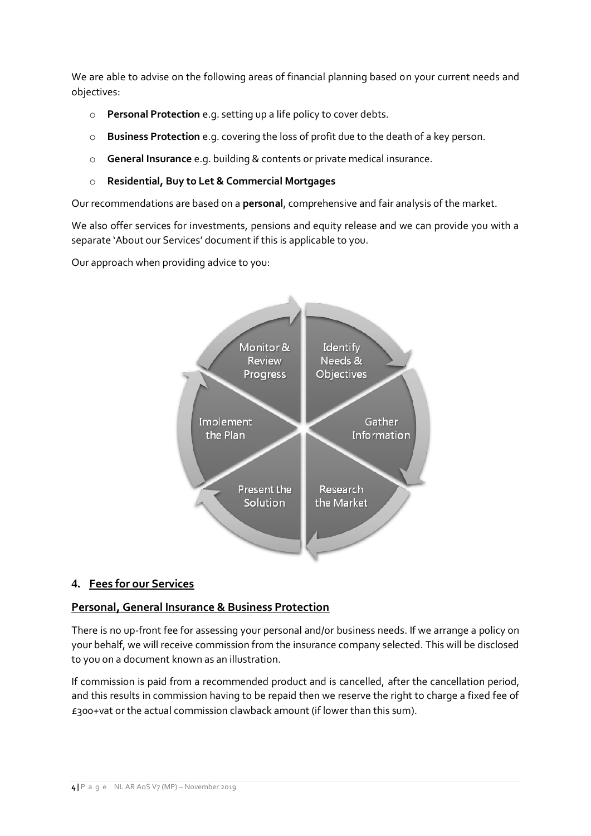We are able to advise on the following areas of financial planning based on your current needs and objectives:

- o **Personal Protection** e.g. setting up a life policy to cover debts.
- o **Business Protection** e.g. covering the loss of profit due to the death of a key person.
- o **General Insurance** e.g. building & contents or private medical insurance.

#### o **Residential, Buy to Let & Commercial Mortgages**

Our recommendations are based on a **personal**, comprehensive and fair analysis of the market.

We also offer services for investments, pensions and equity release and we can provide you with a separate 'About our Services' document if this is applicable to you.

Our approach when providing advice to you:



## **4. Fees for our Services**

## **Personal, General Insurance & Business Protection**

There is no up-front fee for assessing your personal and/or business needs. If we arrange a policy on your behalf, we will receive commission from the insurance company selected. This will be disclosed to you on a document known as an illustration.

If commission is paid from a recommended product and is cancelled, after the cancellation period, and this results in commission having to be repaid then we reserve the right to charge a fixed fee of £300+vat or the actual commission clawback amount (if lower than this sum).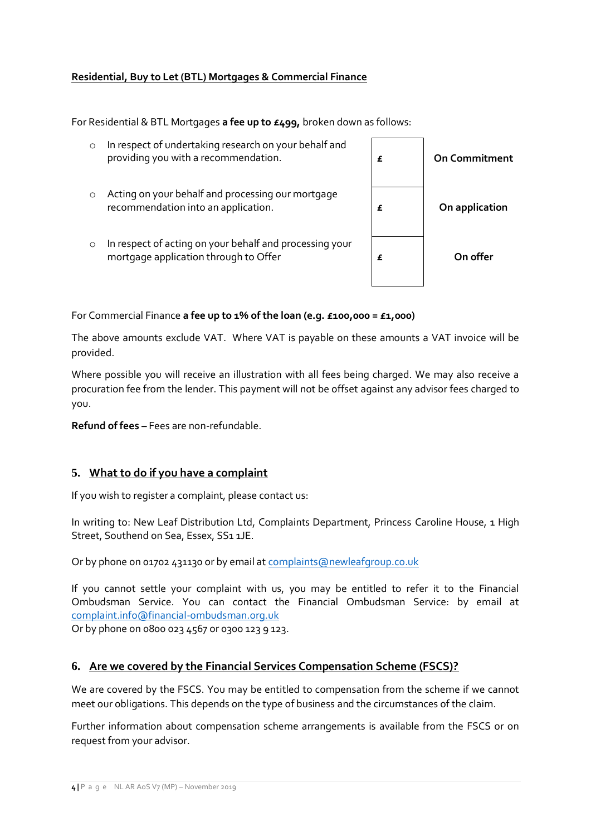### **Residential, Buy to Let (BTL) Mortgages & Commercial Finance**

For Residential & BTL Mortgages **a fee up to £499,** broken down as follows:

| $\circ$ | In respect of undertaking research on your behalf and<br>providing you with a recommendation.    | £ | <b>On Commitment</b> |
|---------|--------------------------------------------------------------------------------------------------|---|----------------------|
| $\circ$ | Acting on your behalf and processing our mortgage<br>recommendation into an application.         | £ | On application       |
| $\circ$ | In respect of acting on your behalf and processing your<br>mortgage application through to Offer | £ | On offer             |

For Commercial Finance **a fee up to 1% of the loan (e.g. £100,000 = £1,000)**

The above amounts exclude VAT. Where VAT is payable on these amounts a VAT invoice will be provided.

Where possible you will receive an illustration with all fees being charged. We may also receive a procuration fee from the lender. This payment will not be offset against any advisor fees charged to you.

**Refund of fees –** Fees are non-refundable.

### **5. What to do if you have a complaint**

If you wish to register a complaint, please contact us:

In writing to: New Leaf Distribution Ltd, Complaints Department, Princess Caroline House, 1 High Street, Southend on Sea, Essex, SS1 1JE.

Or by phone on 01702 431130 or by email at [complaints@newleafgroup.co.uk](about:blank)

If you cannot settle your complaint with us, you may be entitled to refer it to the Financial Ombudsman Service. You can contact the Financial Ombudsman Service: by email at [complaint.info@financial-ombudsman.org.uk](about:blank)

Or by phone on 0800 023 4567 or 0300 123 9 123.

#### **6. Are we covered by the Financial Services Compensation Scheme (FSCS)?**

We are covered by the FSCS. You may be entitled to compensation from the scheme if we cannot meet our obligations. This depends on the type of business and the circumstances of the claim.

Further information about compensation scheme arrangements is available from the FSCS or on request from your advisor.